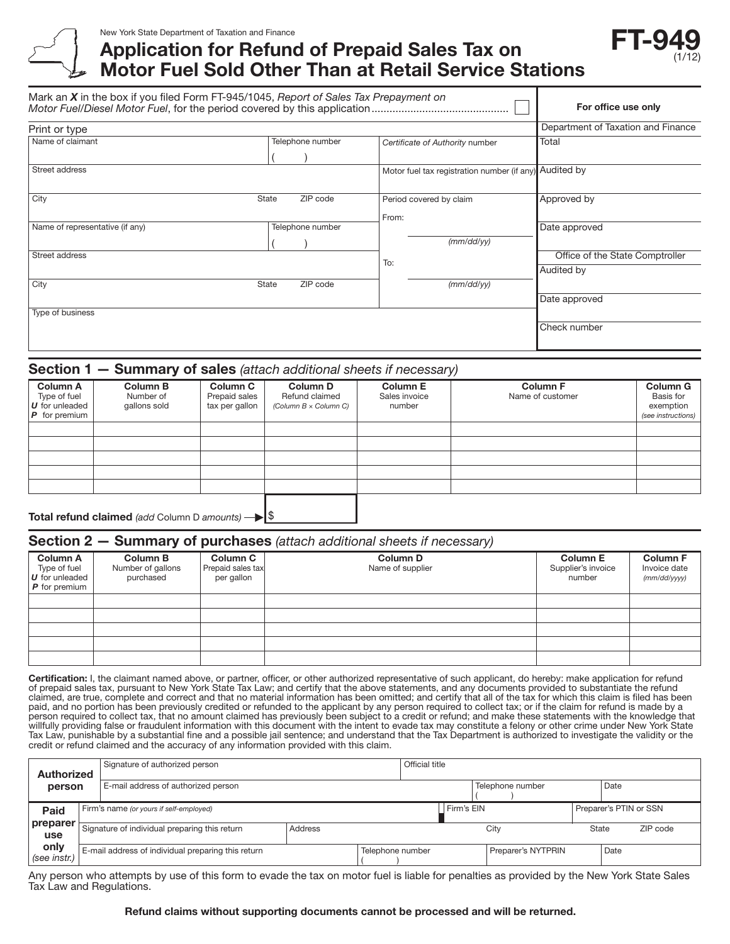

# Application for Refund of Prepaid Sales Tax on Motor Fuel Sold Other Than at Retail Service Stations



| Mark an $X$ in the box if you filed Form FT-945/1045, Report of Sales Tax Prepayment on | For office use only<br>Department of Taxation and Finance |                                                        |                                               |
|-----------------------------------------------------------------------------------------|-----------------------------------------------------------|--------------------------------------------------------|-----------------------------------------------|
| Print or type                                                                           |                                                           |                                                        |                                               |
| Name of claimant                                                                        | Telephone number                                          | Certificate of Authority number                        | Total                                         |
| Street address                                                                          |                                                           | Motor fuel tax registration number (if any) Audited by |                                               |
| City                                                                                    | ZIP code<br>State                                         | Period covered by claim<br>From:                       | Approved by                                   |
| Name of representative (if any)                                                         | Telephone number                                          | (mm/dd/yy)                                             | Date approved                                 |
| Street address                                                                          |                                                           | To:                                                    | Office of the State Comptroller<br>Audited by |
| City                                                                                    | ZIP code<br>State                                         | (mm/dd/yy)                                             | Date approved                                 |
| Type of business                                                                        |                                                           |                                                        |                                               |
|                                                                                         |                                                           |                                                        | Check number                                  |

#### Section 1 — Summary of sales *(attach additional sheets if necessary)*

| <b>Column A</b><br>Type of fuel<br>$U$ for unleaded<br>$\boldsymbol{P}$ for premium | <b>Column B</b><br>Number of<br>gallons sold | <b>Column C</b><br>Prepaid sales<br>tax per gallon | <b>Column D</b><br>Refund claimed<br>(Column $B \times$ Column C) | <b>Column E</b><br>Sales invoice<br>number | <b>Column F</b><br>Name of customer | <b>Column G</b><br>Basis for<br>exemption<br>(see instructions) |
|-------------------------------------------------------------------------------------|----------------------------------------------|----------------------------------------------------|-------------------------------------------------------------------|--------------------------------------------|-------------------------------------|-----------------------------------------------------------------|
|                                                                                     |                                              |                                                    |                                                                   |                                            |                                     |                                                                 |
|                                                                                     |                                              |                                                    |                                                                   |                                            |                                     |                                                                 |
|                                                                                     |                                              |                                                    |                                                                   |                                            |                                     |                                                                 |
|                                                                                     |                                              |                                                    |                                                                   |                                            |                                     |                                                                 |
|                                                                                     |                                              |                                                    |                                                                   |                                            |                                     |                                                                 |
|                                                                                     |                                              |                                                    |                                                                   |                                            |                                     |                                                                 |

Total refund claimed *(add Column D amounts)*  $\rightarrow$  \$

#### Section 2 — Summary of purchases *(attach additional sheets if necessary)*

|                                                                      |                                                   |                                                    | . .                                 |                                                 |                                                 |
|----------------------------------------------------------------------|---------------------------------------------------|----------------------------------------------------|-------------------------------------|-------------------------------------------------|-------------------------------------------------|
| <b>Column A</b><br>Type of fuel<br>U for unleaded<br>$P$ for premium | <b>Column B</b><br>Number of gallons<br>purchased | <b>Column C</b><br>Prepaid sales tax<br>per gallon | <b>Column D</b><br>Name of supplier | <b>Column E</b><br>Supplier's invoice<br>number | <b>Column F</b><br>Invoice date<br>(mm/dd/yyyy) |
|                                                                      |                                                   |                                                    |                                     |                                                 |                                                 |
|                                                                      |                                                   |                                                    |                                     |                                                 |                                                 |
|                                                                      |                                                   |                                                    |                                     |                                                 |                                                 |
|                                                                      |                                                   |                                                    |                                     |                                                 |                                                 |
|                                                                      |                                                   |                                                    |                                     |                                                 |                                                 |

Certification: I, the claimant named above, or partner, officer, or other authorized representative of such applicant, do hereby: make application for refund of prepaid sales tax, pursuant to New York State Tax Law; and certify that the above statements, and any documents provided to substantiate the refund claimed, are true, complete and correct and that no material information has been omitted; and certify that all of the tax for which this claim is filed has been paid, and no portion has been previously credited or refunded to the applicant by any person required to collect tax; or if the claim for refund is made by a person required to collect tax, that no amount claimed has previously been subject to a credit or refund; and make these statements with the knowledge that willfully providing false or fraudulent information with this document with the intent to evade tax may constitute a felony or other crime under New York State Tax Law, punishable by a substantial fine and a possible jail sentence; and understand that the Tax Department is authorized to investigate the validity or the credit or refund claimed and the accuracy of any information provided with this claim.

| Authorized           |                                                    | Signature of authorized person          |         |                  | Official title   |            |                    |                   |                        |  |  |
|----------------------|----------------------------------------------------|-----------------------------------------|---------|------------------|------------------|------------|--------------------|-------------------|------------------------|--|--|
| person               |                                                    | E-mail address of authorized person     |         |                  | Telephone number |            | Date               |                   |                        |  |  |
| Paid                 |                                                    | Firm's name (or yours if self-employed) |         |                  |                  | Firm's EIN |                    |                   | Preparer's PTIN or SSN |  |  |
| preparer<br>use      | Signature of individual preparing this return      |                                         | Address |                  |                  | City       |                    | ZIP code<br>State |                        |  |  |
| only<br>(see instr.) | E-mail address of individual preparing this return |                                         |         | Telephone number |                  |            | Preparer's NYTPRIN |                   | Date                   |  |  |

Any person who attempts by use of this form to evade the tax on motor fuel is liable for penalties as provided by the New York State Sales Tax Law and Regulations.

#### Refund claims without supporting documents cannot be processed and will be returned.